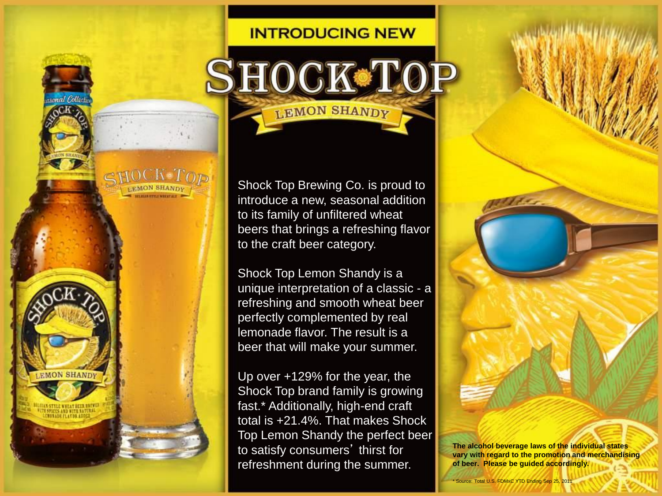## **INTRODUCING NEW**

LEMON SHANDY

Shock Top Brewing Co. is proud to introduce a new, seasonal addition to its family of unfiltered wheat beers that brings a refreshing flavor to the craft beer category.

Shock Top Lemon Shandy is a unique interpretation of a classic - a refreshing and smooth wheat beer perfectly complemented by real lemonade flavor. The result is a beer that will make your summer.

Up over +129% for the year, the Shock Top brand family is growing fast.\* Additionally, high-end craft total is +21.4%. That makes Shock Top Lemon Shandy the perfect beer to satisfy consumers' thirst for refreshment during the summer.

**EMON SHANDY** 

'H SPOEES AND WITH NATURA **MONADE FLATOS ADD** 



**The alcohol beverage laws of the individual states vary with regard to the promotion and merchandising of beer. Please be guided accordingly.**

Source: Total U.S. FDMxC YTD Ending Sep 25, 2011